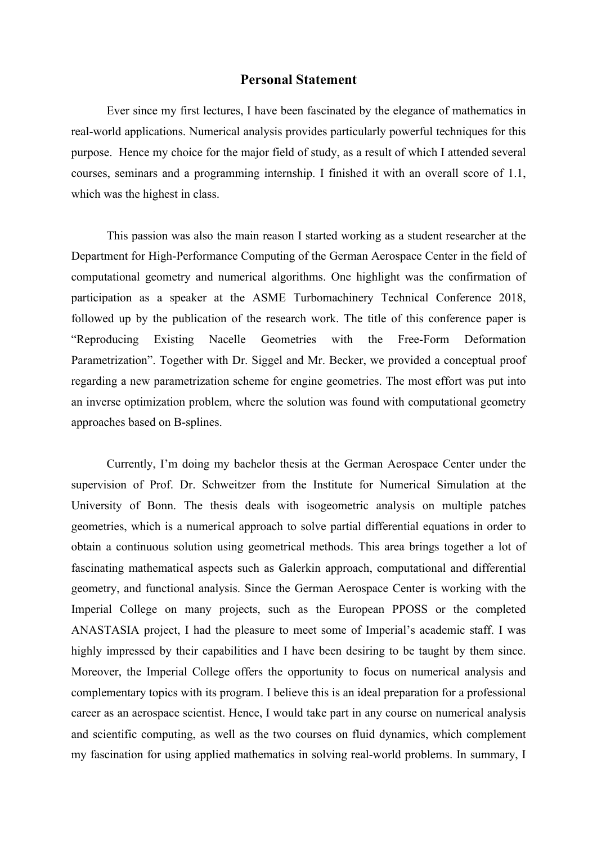## **Personal Statement**

Ever since my first lectures, I have been fascinated by the elegance of mathematics in real-world applications. Numerical analysis provides particularly powerful techniques for this purpose. Hence my choice for the major field of study, as a result of which I attended several courses, seminars and a programming internship. I finished it with an overall score of 1.1, which was the highest in class.

This passion was also the main reason I started working as a student researcher at the Department for High-Performance Computing of the German Aerospace Center in the field of computational geometry and numerical algorithms. One highlight was the confirmation of participation as a speaker at the ASME Turbomachinery Technical Conference 2018, followed up by the publication of the research work. The title of this conference paper is "Reproducing Existing Nacelle Geometries with the Free-Form Deformation Parametrization". Together with Dr. Siggel and Mr. Becker, we provided a conceptual proof regarding a new parametrization scheme for engine geometries. The most effort was put into an inverse optimization problem, where the solution was found with computational geometry approaches based on B-splines.

Currently, I'm doing my bachelor thesis at the German Aerospace Center under the supervision of Prof. Dr. Schweitzer from the Institute for Numerical Simulation at the University of Bonn. The thesis deals with isogeometric analysis on multiple patches geometries, which is a numerical approach to solve partial differential equations in order to obtain a continuous solution using geometrical methods. This area brings together a lot of fascinating mathematical aspects such as Galerkin approach, computational and differential geometry, and functional analysis. Since the German Aerospace Center is working with the Imperial College on many projects, such as the European PPOSS or the completed ANASTASIA project, I had the pleasure to meet some of Imperial's academic staff. I was highly impressed by their capabilities and I have been desiring to be taught by them since. Moreover, the Imperial College offers the opportunity to focus on numerical analysis and complementary topics with its program. I believe this is an ideal preparation for a professional career as an aerospace scientist. Hence, I would take part in any course on numerical analysis and scientific computing, as well as the two courses on fluid dynamics, which complement my fascination for using applied mathematics in solving real-world problems. In summary, I